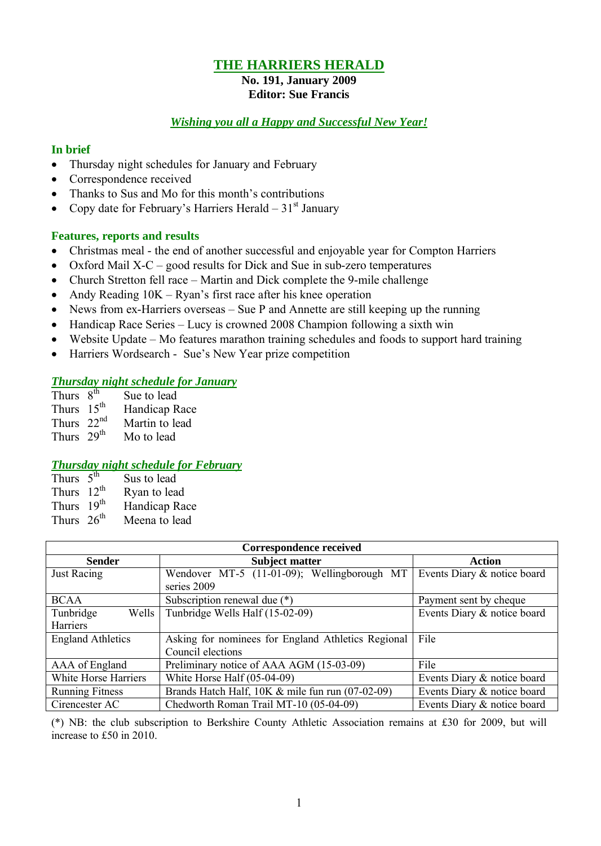## **THE HARRIERS HERALD**

#### **No. 191, January 2009 Editor: Sue Francis**

#### *Wishing you all a Happy and Successful New Year!*

#### **In brief**

- Thursday night schedules for January and February
- Correspondence received
- Thanks to Sus and Mo for this month's contributions
- Copy date for February's Harriers Herald  $31<sup>st</sup>$  January

## **Features, reports and results**

- Christmas meal the end of another successful and enjoyable year for Compton Harriers
- Oxford Mail  $X-C$  good results for Dick and Sue in sub-zero temperatures
- Church Stretton fell race Martin and Dick complete the 9-mile challenge
- Andy Reading  $10K Ryan's$  first race after his knee operation
- News from ex-Harriers overseas Sue P and Annette are still keeping up the running
- Handicap Race Series Lucy is crowned 2008 Champion following a sixth win
- Website Update Mo features marathon training schedules and foods to support hard training
- Harriers Wordsearch Sue's New Year prize competition

## *Thursday night schedule for January*

| Thurs $8^{th}$         | Sue to lead    |
|------------------------|----------------|
| Thurs $15th$           | Handicap Race  |
| Thurs $22nd$           | Martin to lead |
| Thurs 29 <sup>th</sup> | Mo to lead     |

## *Thursday night schedule for February*

| Thurs $5th$            | Sus to lead   |
|------------------------|---------------|
| Thurs $12^{th}$        | Ryan to lead  |
| Thurs 19 <sup>th</sup> | Handicap Race |
| Thurs $26th$           | Meena to lead |

| Correspondence received  |                                                    |                             |  |  |  |  |  |
|--------------------------|----------------------------------------------------|-----------------------------|--|--|--|--|--|
| <b>Sender</b>            | <b>Subject matter</b>                              | Action                      |  |  |  |  |  |
| <b>Just Racing</b>       | Wendover MT-5 (11-01-09); Wellingborough MT        | Events Diary & notice board |  |  |  |  |  |
|                          | series 2009                                        |                             |  |  |  |  |  |
| <b>BCAA</b>              | Subscription renewal due (*)                       |                             |  |  |  |  |  |
| Tunbridge<br>Wells       | Tunbridge Wells Half (15-02-09)                    | Events Diary & notice board |  |  |  |  |  |
| Harriers                 |                                                    |                             |  |  |  |  |  |
| <b>England Athletics</b> | Asking for nominees for England Athletics Regional | File                        |  |  |  |  |  |
|                          | Council elections                                  |                             |  |  |  |  |  |
| AAA of England           | Preliminary notice of AAA AGM (15-03-09)           | File                        |  |  |  |  |  |
| White Horse Harriers     | White Horse Half (05-04-09)                        | Events Diary & notice board |  |  |  |  |  |
| <b>Running Fitness</b>   | Brands Hatch Half, 10K & mile fun run (07-02-09)   | Events Diary & notice board |  |  |  |  |  |
| Cirencester AC           | Chedworth Roman Trail MT-10 (05-04-09)             | Events Diary & notice board |  |  |  |  |  |

(\*) NB: the club subscription to Berkshire County Athletic Association remains at Ç30 for 2009, but will increase to £50 in 2010.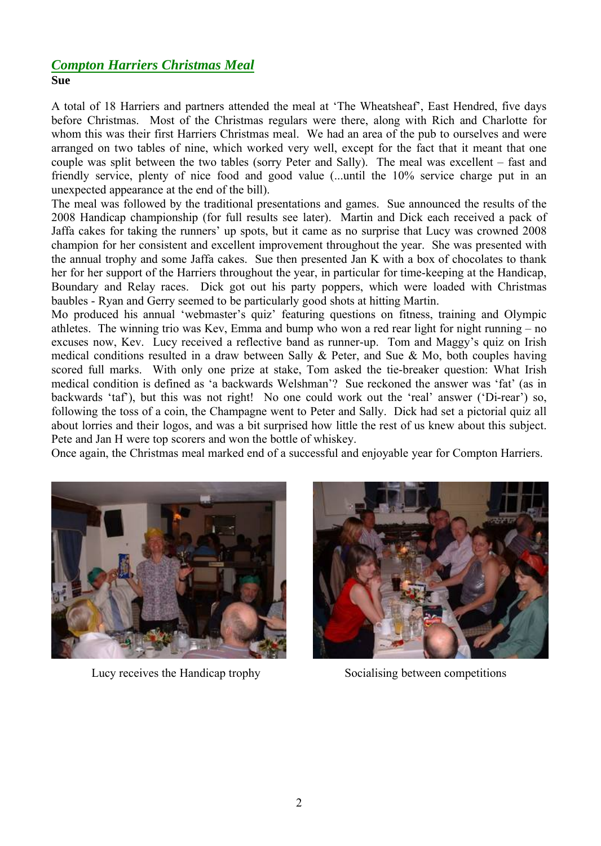## *Compton Harriers Christmas Meal* **Sue**

A total of 18 Harriers and partners attended the meal at 'The Wheatsheaf', East Hendred, five days before Christmas. Most of the Christmas regulars were there, along with Rich and Charlotte for whom this was their first Harriers Christmas meal. We had an area of the pub to ourselves and were arranged on two tables of nine, which worked very well, except for the fact that it meant that one couple was split between the two tables (sorry Peter and Sally). The meal was excellent – fast and friendly service, plenty of nice food and good value (...until the 10% service charge put in an unexpected appearance at the end of the bill).

The meal was followed by the traditional presentations and games. Sue announced the results of the 2008 Handicap championship (for full results see later). Martin and Dick each received a pack of Jaffa cakes for taking the runners' up spots, but it came as no surprise that Lucy was crowned 2008 champion for her consistent and excellent improvement throughout the year. She was presented with the annual trophy and some Jaffa cakes. Sue then presented Jan K with a box of chocolates to thank her for her support of the Harriers throughout the year, in particular for time-keeping at the Handicap, Boundary and Relay races. Dick got out his party poppers, which were loaded with Christmas baubles - Ryan and Gerry seemed to be particularly good shots at hitting Martin.

Mo produced his annual 'webmaster's quiz' featuring questions on fitness, training and Olympic athletes. The winning trio was Kev, Emma and bump who won a red rear light for night running – no excuses now, Kev. Lucy received a reflective band as runner-up. Tom and Maggy's quiz on Irish medical conditions resulted in a draw between Sally & Peter, and Sue & Mo, both couples having scored full marks. With only one prize at stake, Tom asked the tie-breaker question: What Irish medical condition is defined as 'a backwards Welshman'? Sue reckoned the answer was 'fat' (as in backwards 'taf'), but this was not right! No one could work out the 'real' answer ('Di-rear') so, following the toss of a coin, the Champagne went to Peter and Sally. Dick had set a pictorial quiz all about lorries and their logos, and was a bit surprised how little the rest of us knew about this subject. Pete and Jan H were top scorers and won the bottle of whiskey.

Once again, the Christmas meal marked end of a successful and enjoyable year for Compton Harriers.



Lucy receives the Handicap trophy Socialising between competitions

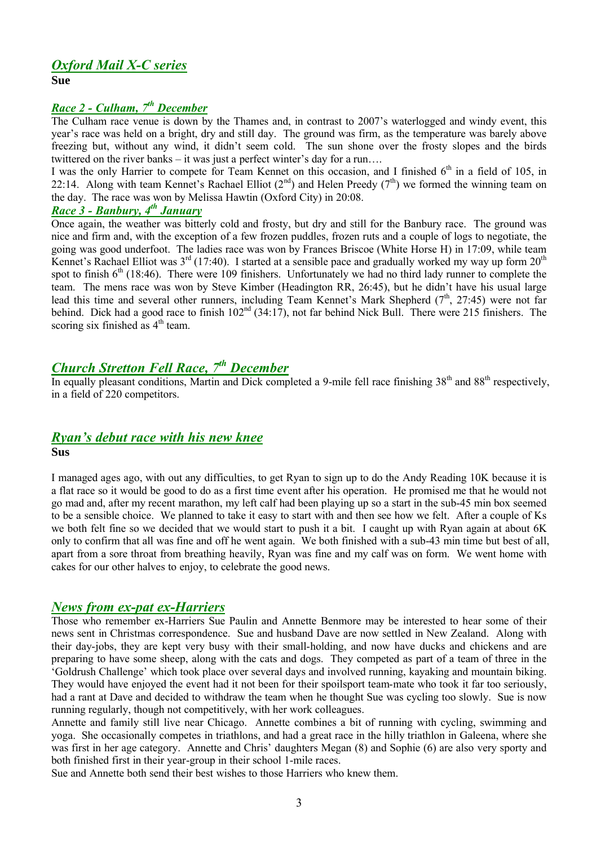# *Oxford Mail X-C series*

**Sue**

## *Race 2 - Culham, 7 th December*

The Culham race venue is down by the Thames and, in contrast to 2007's waterlogged and windy event, this year's race was held on a bright, dry and still day. The ground was firm, as the temperature was barely above freezing but, without any wind, it didn't seem cold. The sun shone over the frosty slopes and the birds twittered on the river banks – it was just a perfect winter's day for a run….

I was the only Harrier to compete for Team Kennet on this occasion, and I finished 6<sup>th</sup> in a field of 105, in 22:14. Along with team Kennet's Rachael Elliot  $(2^{nd})$  and Helen Preedy  $(7^{th})$  we formed the winning team on the day. The race was won by Melissa Hawtin (Oxford City) in 20:08.

## *Race 3 - Banbury, 4 th January*

Once again, the weather was bitterly cold and frosty, but dry and still for the Banbury race. The ground was nice and firm and, with the exception of a few frozen puddles, frozen ruts and a couple of logs to negotiate, the going was good underfoot. The ladies race was won by Frances Briscoe (White Horse H) in 17:09, while team Kennet's Rachael Elliot was  $3^{rd}$  (17:40). I started at a sensible pace and gradually worked my way up form  $20^{th}$ spot to finish  $6<sup>th</sup>$  (18:46). There were 109 finishers. Unfortunately we had no third lady runner to complete the team. The mens race was won by Steve Kimber (Headington RR, 26:45), but he didn't have his usual large lead this time and several other runners, including Team Kennet's Mark Shepherd  $(7<sup>th</sup>, 27:45)$  were not far behind. Dick had a good race to finish  $102<sup>nd</sup> (34:17)$ , not far behind Nick Bull. There were 215 finishers. The scoring six finished as 4<sup>th</sup> team.

# *Church Stretton Fell Race, 7 th December*

In equally pleasant conditions, Martin and Dick completed a 9-mile fell race finishing 38<sup>th</sup> and 88<sup>th</sup> respectively, in a field of 220 competitors.

## *Ryan's debut race with his new knee*

**Sus**

I managed ages ago, with out any difficulties, to get Ryan to sign up to do the Andy Reading 10K because it is a flat race so it would be good to do as a first time event after his operation. He promised me that he would not go mad and, after my recent marathon, my left calf had been playing up so a start in the sub-45 min box seemed to be a sensible choice. We planned to take it easy to start with and then see how we felt. After a couple of Ks we both felt fine so we decided that we would start to push it a bit. I caught up with Ryan again at about 6K only to confirm that all was fine and off he went again. We both finished with a sub-43 min time but best of all, apart from a sore throat from breathing heavily, Ryan was fine and my calf was on form. We went home with cakes for our other halves to enjoy, to celebrate the good news.

## *News from ex-pat ex-Harriers*

Those who remember ex-Harriers Sue Paulin and Annette Benmore may be interested to hear some of their news sent in Christmas correspondence. Sue and husband Dave are now settled in New Zealand. Along with their day-jobs, they are kept very busy with their small-holding, and now have ducks and chickens and are preparing to have some sheep, along with the cats and dogs. They competed as part of a team of three in the 'Goldrush Challenge' which took place over several days and involved running, kayaking and mountain biking. They would have enjoyed the event had it not been for their spoilsport team-mate who took it far too seriously, had a rant at Dave and decided to withdraw the team when he thought Sue was cycling too slowly. Sue is now running regularly, though not competitively, with her work colleagues.

Annette and family still live near Chicago. Annette combines a bit of running with cycling, swimming and yoga. She occasionally competes in triathlons, and had a great race in the hilly triathlon in Galeena, where she was first in her age category. Annette and Chris' daughters Megan (8) and Sophie (6) are also very sporty and both finished first in their year-group in their school 1-mile races.

Sue and Annette both send their best wishes to those Harriers who knew them.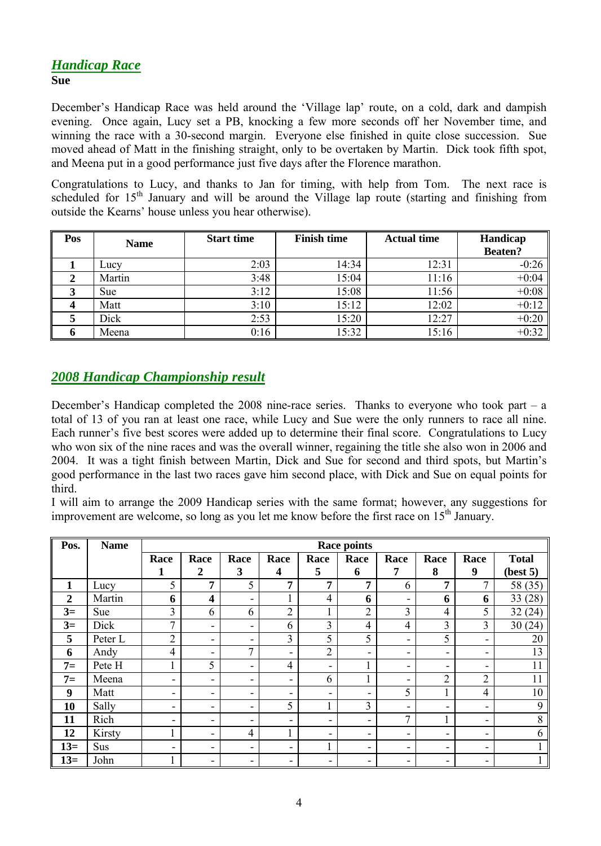## *Handicap Race* **Sue**

December's Handicap Race was held around the 'Village lap' route, on a cold, dark and dampish evening. Once again, Lucy set a PB, knocking a few more seconds off her November time, and winning the race with a 30-second margin. Everyone else finished in quite close succession. Sue moved ahead of Matt in the finishing straight, only to be overtaken by Martin. Dick took fifth spot, and Meena put in a good performance just five days after the Florence marathon.

Congratulations to Lucy, and thanks to Jan for timing, with help from Tom. The next race is scheduled for  $15<sup>th</sup>$  January and will be around the Village lap route (starting and finishing from outside the Kearns' house unless you hear otherwise).

| Pos | <b>Name</b> | <b>Start time</b> | <b>Finish time</b> | <b>Actual time</b> | Handicap<br><b>Beaten?</b> |
|-----|-------------|-------------------|--------------------|--------------------|----------------------------|
|     | Lucy        | 2:03              | 14:34              | 12:31              | $-0:26$                    |
|     | Martin      | 3:48              | 15:04              | 11:16              | $+0:04$                    |
| J   | Sue         | 3:12              | 15:08              | 11:56              | $+0:08$                    |
|     | Matt        | 3:10              | 15:12              | 12:02              | $+0:12$                    |
|     | Dick        | 2:53              | 15:20              | 12:27              | $+0:20$                    |
|     | Meena       | 0:16              | 15:32              | 15:16              | $+0:32$                    |

## *2008 Handicap Championship result*

December's Handicap completed the 2008 nine-race series. Thanks to everyone who took part – a total of 13 of you ran at least one race, while Lucy and Sue were the only runners to race all nine. Each runner's five best scores were added up to determine their final score. Congratulations to Lucy who won six of the nine races and was the overall winner, regaining the title she also won in 2006 and 2004. It was a tight finish between Martin, Dick and Sue for second and third spots, but Martin's good performance in the last two races gave him second place, with Dick and Sue on equal points for third.

I will aim to arrange the 2009 Handicap series with the same format; however, any suggestions for improvement are welcome, so long as you let me know before the first race on  $15<sup>th</sup>$  January.

| Pos.             | <b>Name</b> | Race points                  |                         |                          |                |                |                |                          |                          |                |              |
|------------------|-------------|------------------------------|-------------------------|--------------------------|----------------|----------------|----------------|--------------------------|--------------------------|----------------|--------------|
|                  |             | Race                         | Race                    | Race                     | Race           | Race           | Race           | Race                     | Race                     | Race           | <b>Total</b> |
|                  |             | 1                            | $\boldsymbol{2}$        | 3                        | 4              | 5              | 6              | 7                        | 8                        | 9              | (best 5)     |
| $\mathbf{1}$     | Lucy        | 5                            | $\overline{7}$          | 5                        | 7              | 7              | 7              | 6                        | 7                        | 7              | 58 (35)      |
| $\boldsymbol{2}$ | Martin      | 6                            | $\overline{\mathbf{4}}$ | ۰                        |                | $\overline{4}$ | 6              | $\overline{\phantom{a}}$ | 6                        | 6              | 33(28)       |
| $3=$             | <b>Sue</b>  | 3                            | 6                       | 6                        | $\overline{2}$ |                | $\overline{2}$ | 3                        | 4                        | 5              | 32(24)       |
| $3=$             | Dick        | 7                            | ٠                       | $\overline{\phantom{0}}$ | 6              | $\overline{3}$ | 4              | $\overline{4}$           | 3                        | 3              | 30(24)       |
| 5                | Peter L     | $\overline{2}$               | -                       | ۰                        | $\overline{3}$ | 5              | 5              | $\overline{\phantom{a}}$ | 5                        | ۰              | 20           |
| 6                | Andy        | 4                            | ۰                       | 7                        | -              | $\overline{2}$ | ۰              | $\overline{\phantom{a}}$ | $\overline{\phantom{a}}$ | ۰              | 13           |
| $7=$             | Pete H      |                              | 5                       | $\blacksquare$           | $\overline{4}$ | ۰              |                | $\overline{\phantom{a}}$ | $\overline{\phantom{a}}$ | ۰              | 11           |
| $7=$             | Meena       | -                            | -                       | ۰                        | ۰              | 6              |                | ۰                        | 2                        | $\overline{2}$ | 11           |
| 9                | Matt        | $\qquad \qquad \blacksquare$ | ٠                       | ۰                        | ۰              | ٠              | -              | 5                        |                          | 4              | 10           |
| 10               | Sally       | $\qquad \qquad \blacksquare$ | ۰                       | ۰                        | 5              |                | 3              | $\overline{\phantom{a}}$ | $\overline{\phantom{a}}$ | ۰              | 9            |
| 11               | Rich        | -                            | -                       | ۰                        | ۰.             | Ξ.             | -              | $\mathbf{r}$             |                          | ۰              | 8            |
| 12               | Kirsty      |                              | ۰                       | $\overline{4}$           |                | Ξ.             | Ξ.             | $\overline{\phantom{a}}$ | $\overline{\phantom{a}}$ | ۰              | 6            |
| $13=$            | <b>Sus</b>  | ۰                            | ۰                       | ۰                        | ۰.             |                | ۰              | ۰                        | $\overline{\phantom{a}}$ | ۰              |              |
| $13=$            | John        |                              | -                       | ۰                        | ۰.             | ۰              | ۰              | ۰                        | ۰                        | ۰              |              |